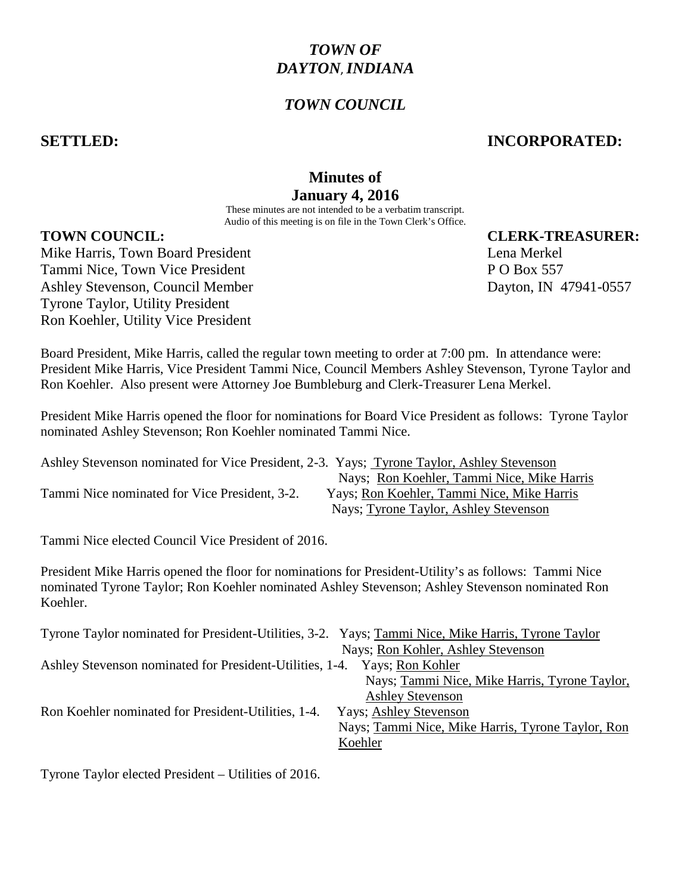# *TOWN OF DAYTON*,*INDIANA*

## *TOWN COUNCIL*

#### **SETTLED: INCORPORATED:**

## **Minutes of January 4, 2016**

These minutes are not intended to be a verbatim transcript. Audio of this meeting is on file in the Town Clerk's Office.

#### **TOWN COUNCIL: CLERK-TREASURER:**

Mike Harris, Town Board President Lena Merkel **Lena Merkel** Tammi Nice, Town Vice President **P O Box 557** Ashley Stevenson, Council Member Dayton, IN 47941-0557 Tyrone Taylor, Utility President Ron Koehler, Utility Vice President

Board President, Mike Harris, called the regular town meeting to order at 7:00 pm. In attendance were: President Mike Harris, Vice President Tammi Nice, Council Members Ashley Stevenson, Tyrone Taylor and Ron Koehler. Also present were Attorney Joe Bumbleburg and Clerk-Treasurer Lena Merkel.

President Mike Harris opened the floor for nominations for Board Vice President as follows: Tyrone Taylor nominated Ashley Stevenson; Ron Koehler nominated Tammi Nice.

| Ashley Stevenson nominated for Vice President, 2-3. Yays; Tyrone Taylor, Ashley Stevenson |                                            |
|-------------------------------------------------------------------------------------------|--------------------------------------------|
|                                                                                           | Nays: Ron Koehler, Tammi Nice, Mike Harris |
| Tammi Nice nominated for Vice President, 3-2.                                             | Yays; Ron Koehler, Tammi Nice, Mike Harris |
|                                                                                           | Nays; Tyrone Taylor, Ashley Stevenson      |

Tammi Nice elected Council Vice President of 2016.

President Mike Harris opened the floor for nominations for President-Utility's as follows: Tammi Nice nominated Tyrone Taylor; Ron Koehler nominated Ashley Stevenson; Ashley Stevenson nominated Ron Koehler.

| Tyrone Taylor nominated for President-Utilities, 3-2. Yays; Tammi Nice, Mike Harris, Tyrone Taylor |
|----------------------------------------------------------------------------------------------------|
| Nays; Ron Kohler, Ashley Stevenson                                                                 |
| Ashley Stevenson nominated for President-Utilities, 1-4.<br>Yays; Ron Kohler                       |
| Nays; Tammi Nice, Mike Harris, Tyrone Taylor,                                                      |
| <b>Ashley Stevenson</b>                                                                            |
| Yays; Ashley Stevenson                                                                             |
| Nays; Tammi Nice, Mike Harris, Tyrone Taylor, Ron                                                  |
| Koehler                                                                                            |
|                                                                                                    |

Tyrone Taylor elected President – Utilities of 2016.